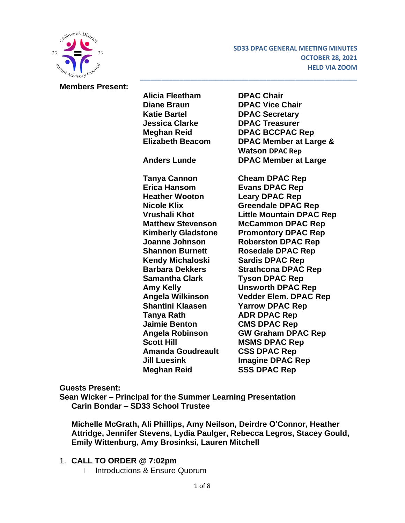

#### **Members Present:**

**Alicia Fleetham DPAC Chair Diane Braun DPAC Vice Chair Katie Bartel DPAC Secretary Jessica Clarke DPAC Treasurer Meghan Reid DPAC BCCPAC Rep Elizabeth Beacom DPAC Member at Large & Watson DPAC Rep Anders Lunde DPAC Member at Large Tanya Cannon Cheam DPAC Rep Erica Hansom Evans DPAC Rep Heather Wooton Leary DPAC Rep Nicole Klix Greendale DPAC Rep Vrushali Khot Little Mountain DPAC Rep Matthew Stevenson McCammon DPAC Rep Kimberly Gladstone Promontory DPAC Rep Joanne Johnson Roberston DPAC Rep Shannon Burnett Rosedale DPAC Rep Kendy Michaloski Sardis DPAC Rep Barbara Dekkers Strathcona DPAC Rep Samantha Clark Tyson DPAC Rep Amy Kelly Unsworth DPAC Rep Angela Wilkinson Vedder Elem. DPAC Rep Shantini Klaasen Yarrow DPAC Rep Tanya Rath ADR DPAC Rep Jaimie Benton CMS DPAC Rep Angela Robinson GW Graham DPAC Rep Scott Hill MSMS DPAC Rep Amanda Goudreault CSS DPAC Rep Jill Luesink Imagine DPAC Rep Meghan Reid SSS DPAC Rep**

**\_\_\_\_\_\_\_\_\_\_\_\_\_\_\_\_\_\_\_\_\_\_\_\_\_\_\_\_\_\_\_\_\_\_\_\_\_\_\_\_\_\_\_\_\_\_\_\_\_\_\_\_\_\_\_\_\_\_\_\_**

**Guests Present:**

**Sean Wicker – Principal for the Summer Learning Presentation Carin Bondar – SD33 School Trustee**

**Michelle McGrath, Ali Phillips, Amy Neilson, Deirdre O'Connor, Heather Attridge, Jennifer Stevens, Lydia Paulger, Rebecca Legros, Stacey Gould, Emily Wittenburg, Amy Brosinksi, Lauren Mitchell**

#### 1. **CALL TO ORDER @ 7:02pm**

□ Introductions & Ensure Quorum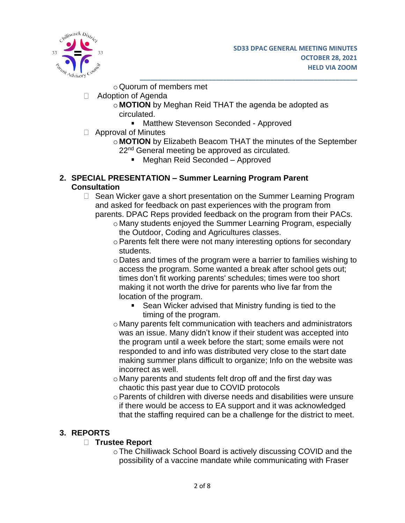

oQuorum of members met

- Adoption of Agenda
	- o **MOTION** by Meghan Reid THAT the agenda be adopted as circulated.
		- **Matthew Stevenson Seconded Approved**
- Approval of Minutes
	- o **MOTION** by Elizabeth Beacom THAT the minutes of the September 22<sup>nd</sup> General meeting be approved as circulated.

**\_\_\_\_\_\_\_\_\_\_\_\_\_\_\_\_\_\_\_\_\_\_\_\_\_\_\_\_\_\_\_\_\_\_\_\_\_\_\_\_\_\_\_\_\_\_\_\_\_\_\_\_\_\_\_\_\_\_\_\_**

■ Meghan Reid Seconded – Approved

#### **2. SPECIAL PRESENTATION – Summer Learning Program Parent Consultation**

- $\Box$  Sean Wicker gave a short presentation on the Summer Learning Program and asked for feedback on past experiences with the program from parents. DPAC Reps provided feedback on the program from their PACs.
	- o Many students enjoyed the Summer Learning Program, especially the Outdoor, Coding and Agricultures classes.
	- oParents felt there were not many interesting options for secondary students.
	- o Dates and times of the program were a barrier to families wishing to access the program. Some wanted a break after school gets out; times don't fit working parents' schedules; times were too short making it not worth the drive for parents who live far from the location of the program.
		- Sean Wicker advised that Ministry funding is tied to the timing of the program.
	- o Many parents felt communication with teachers and administrators was an issue. Many didn't know if their student was accepted into the program until a week before the start; some emails were not responded to and info was distributed very close to the start date making summer plans difficult to organize; Info on the website was incorrect as well.
	- o Many parents and students felt drop off and the first day was chaotic this past year due to COVID protocols
	- oParents of children with diverse needs and disabilities were unsure if there would be access to EA support and it was acknowledged that the staffing required can be a challenge for the district to meet.

# **3. REPORTS**

### **Trustee Report**

oThe Chilliwack School Board is actively discussing COVID and the possibility of a vaccine mandate while communicating with Fraser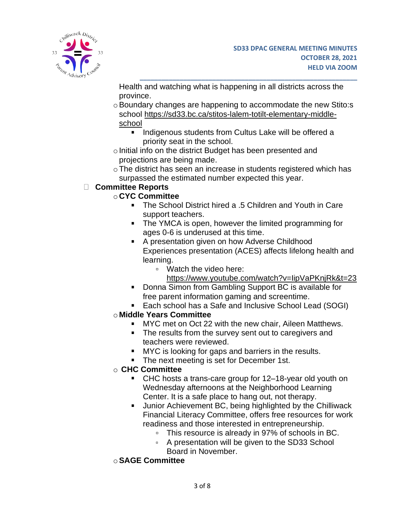

Health and watching what is happening in all districts across the province.

**\_\_\_\_\_\_\_\_\_\_\_\_\_\_\_\_\_\_\_\_\_\_\_\_\_\_\_\_\_\_\_\_\_\_\_\_\_\_\_\_\_\_\_\_\_\_\_\_\_\_\_\_\_\_\_\_\_\_\_\_**

- o Boundary changes are happening to accommodate the new Stito:s school [https://sd33.bc.ca/stitos-lalem-totilt-elementary-middle](https://sd33.bc.ca/stitos-lalem-totilt-elementary-middle-school)[school](https://sd33.bc.ca/stitos-lalem-totilt-elementary-middle-school)
	- **Indigenous students from Cultus Lake will be offered a** priority seat in the school.
- $\circ$  Initial info on the district Budget has been presented and projections are being made.
- oThe district has seen an increase in students registered which has surpassed the estimated number expected this year.

# **Committee Reports**

# o **CYC Committee**

- The School District hired a .5 Children and Youth in Care support teachers.
- **The YMCA is open, however the limited programming for** ages 0-6 is underused at this time.
- A presentation given on how Adverse Childhood Experiences presentation (ACES) affects lifelong health and learning.
	- Watch the video here:
		- [https://www.youtube.com/watch?v=IipVaPKnjRk&t=23](https://www.youtube.com/watch?v=IipVaPKnjRk&t=23&fbclid=IwAR057YPFvKMwo-vtCdPlOXbh9pt1Mc70Rsblj4iXBPhDoYAIbdUIjwCCfOw)
- Donna Simon from Gambling Support BC is available for free parent information gaming and screentime.
- Each school has a Safe and Inclusive School Lead (SOGI)

# o **Middle Years Committee**

- **MYC** met on Oct 22 with the new chair, Aileen Matthews.
- The results from the survey sent out to caregivers and teachers were reviewed.
- **MYC** is looking for gaps and barriers in the results.
- The next meeting is set for December 1st.

# o **CHC Committee**

- CHC hosts a trans-care group for 12–18-year old youth on Wednesday afternoons at the Neighborhood Learning Center. It is a safe place to hang out, not therapy.
- **Junior Achievement BC, being highlighted by the Chilliwack** Financial Literacy Committee, offers free resources for work readiness and those interested in entrepreneurship.
	- This resource is already in 97% of schools in BC.
	- A presentation will be given to the SD33 School Board in November.
- o**SAGE Committee**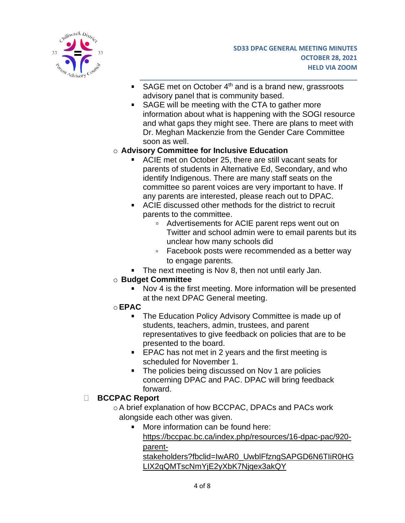

SAGE met on October 4<sup>th</sup> and is a brand new, grassroots advisory panel that is community based.

**\_\_\_\_\_\_\_\_\_\_\_\_\_\_\_\_\_\_\_\_\_\_\_\_\_\_\_\_\_\_\_\_\_\_\_\_\_\_\_\_\_\_\_\_\_\_\_\_\_\_\_\_\_\_\_\_\_\_\_\_**

SAGE will be meeting with the CTA to gather more information about what is happening with the SOGI resource and what gaps they might see. There are plans to meet with Dr. Meghan Mackenzie from the Gender Care Committee soon as well.

## o **Advisory Committee for Inclusive Education**

- ACIE met on October 25, there are still vacant seats for parents of students in Alternative Ed, Secondary, and who identify Indigenous. There are many staff seats on the committee so parent voices are very important to have. If any parents are interested, please reach out to DPAC.
- ACIE discussed other methods for the district to recruit parents to the committee.
	- Advertisements for ACIE parent reps went out on Twitter and school admin were to email parents but its unclear how many schools did
	- Facebook posts were recommended as a better way to engage parents.
- **The next meeting is Nov 8, then not until early Jan.**

### o **Budget Committee**

- Nov 4 is the first meeting. More information will be presented at the next DPAC General meeting.
- o**EPAC**
	- **The Education Policy Advisory Committee is made up of** students, teachers, admin, trustees, and parent representatives to give feedback on policies that are to be presented to the board.
	- **EPAC** has not met in 2 years and the first meeting is scheduled for November 1.
	- The policies being discussed on Nov 1 are policies  $\mathbf{u}$  . concerning DPAC and PAC. DPAC will bring feedback forward.

### **BCCPAC Report**

oA brief explanation of how BCCPAC, DPACs and PACs work alongside each other was given.

**More information can be found here:** [https://bccpac.bc.ca/index.php/resources/16-dpac-pac/920](https://bccpac.bc.ca/index.php/resources/16-dpac-pac/920-parent-stakeholders?fbclid=IwAR0_UwblFfzngSAPGD6N6TIiR0HGLIX2qQMTscNmYjE2yXbK7Njqex3akQY) [parent-](https://bccpac.bc.ca/index.php/resources/16-dpac-pac/920-parent-stakeholders?fbclid=IwAR0_UwblFfzngSAPGD6N6TIiR0HGLIX2qQMTscNmYjE2yXbK7Njqex3akQY)

[stakeholders?fbclid=IwAR0\\_UwblFfzngSAPGD6N6TIiR0HG](https://bccpac.bc.ca/index.php/resources/16-dpac-pac/920-parent-stakeholders?fbclid=IwAR0_UwblFfzngSAPGD6N6TIiR0HGLIX2qQMTscNmYjE2yXbK7Njqex3akQY) [LIX2qQMTscNmYjE2yXbK7Njqex3akQY](https://bccpac.bc.ca/index.php/resources/16-dpac-pac/920-parent-stakeholders?fbclid=IwAR0_UwblFfzngSAPGD6N6TIiR0HGLIX2qQMTscNmYjE2yXbK7Njqex3akQY)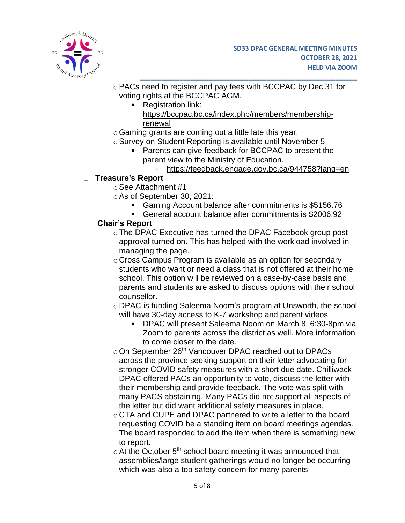

- oPACs need to register and pay fees with BCCPAC by Dec 31 for voting rights at the BCCPAC AGM.
	- Registration link:
		- [https://bccpac.bc.ca/index.php/members/membership](https://bccpac.bc.ca/index.php/members/membership-renewal)[renewal](https://bccpac.bc.ca/index.php/members/membership-renewal)

**\_\_\_\_\_\_\_\_\_\_\_\_\_\_\_\_\_\_\_\_\_\_\_\_\_\_\_\_\_\_\_\_\_\_\_\_\_\_\_\_\_\_\_\_\_\_\_\_\_\_\_\_\_\_\_\_\_\_\_\_**

- $\circ$  Gaming grants are coming out a little late this year.
- o Survey on Student Reporting is available until November 5
	- **Parents can give feedback for BCCPAC to present the** parent view to the Ministry of Education.
		- <https://feedback.engage.gov.bc.ca/944758?lang=en>

### **Treasure's Report**

- oSee Attachment #1
- oAs of September 30, 2021:
	- Gaming Account balance after commitments is \$5156.76
	- General account balance after commitments is \$2006.92

## **Chair's Report**

- o The DPAC Executive has turned the DPAC Facebook group post approval turned on. This has helped with the workload involved in managing the page.
- o Cross Campus Program is available as an option for secondary students who want or need a class that is not offered at their home school. This option will be reviewed on a case-by-case basis and parents and students are asked to discuss options with their school counsellor.
- o DPAC is funding Saleema Noom's program at Unsworth, the school will have 30-day access to K-7 workshop and parent videos
	- DPAC will present Saleema Noom on March 8, 6:30-8pm via Zoom to parents across the district as well. More information to come closer to the date.
- o On September 26<sup>th</sup> Vancouver DPAC reached out to DPACs across the province seeking support on their letter advocating for stronger COVID safety measures with a short due date. Chilliwack DPAC offered PACs an opportunity to vote, discuss the letter with their membership and provide feedback. The vote was split with many PACS abstaining. Many PACs did not support all aspects of the letter but did want additional safety measures in place.
- o CTA and CUPE and DPAC partnered to write a letter to the board requesting COVID be a standing item on board meetings agendas. The board responded to add the item when there is something new to report.
- $\circ$  At the October 5<sup>th</sup> school board meeting it was announced that assemblies/large student gatherings would no longer be occurring which was also a top safety concern for many parents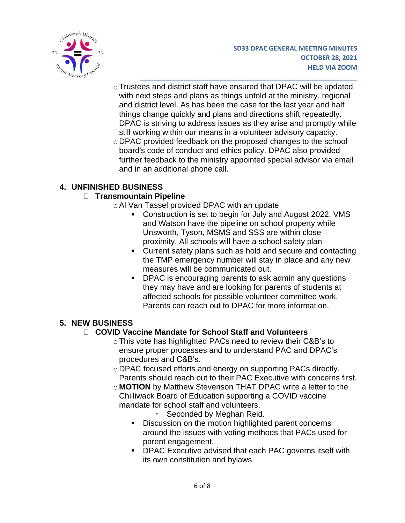

oTrustees and district staff have ensured that DPAC will be updated with next steps and plans as things unfold at the ministry, regional and district level. As has been the case for the last year and half things change quickly and plans and directions shift repeatedly. DPAC is striving to address issues as they arise and promptly while still working within our means in a volunteer advisory capacity.

**\_\_\_\_\_\_\_\_\_\_\_\_\_\_\_\_\_\_\_\_\_\_\_\_\_\_\_\_\_\_\_\_\_\_\_\_\_\_\_\_\_\_\_\_\_\_\_\_\_\_\_\_\_\_\_\_\_\_\_\_**

o DPAC provided feedback on the proposed changes to the school board's code of conduct and ethics policy. DPAC also provided further feedback to the ministry appointed special advisor via email and in an additional phone call.

# **4. UNFINISHED BUSINESS**

### **Transmountain Pipeline**

- oAl Van Tassel provided DPAC with an update
	- Construction is set to begin for July and August 2022, VMS and Watson have the pipeline on school property while Unsworth, Tyson, MSMS and SSS are within close proximity. All schools will have a school safety plan
	- **Current safety plans such as hold and secure and contacting** the TMP emergency number will stay in place and any new measures will be communicated out.
	- **DPAC** is encouraging parents to ask admin any questions they may have and are looking for parents of students at affected schools for possible volunteer committee work. Parents can reach out to DPAC for more information.

# **5. NEW BUSINESS**

# **COVID Vaccine Mandate for School Staff and Volunteers**

- oThis vote has highlighted PACs need to review their C&B's to ensure proper processes and to understand PAC and DPAC's procedures and C&B's.
- o DPAC focused efforts and energy on supporting PACs directly. Parents should reach out to their PAC Executive with concerns first.
- o **MOTION** by Matthew Stevenson THAT DPAC write a letter to the Chilliwack Board of Education supporting a COVID vaccine mandate for school staff and volunteers.
	- □ Seconded by Meghan Reid.
	- Discussion on the motion highlighted parent concerns around the issues with voting methods that PACs used for parent engagement.
	- **DPAC Executive advised that each PAC governs itself with** its own constitution and bylaws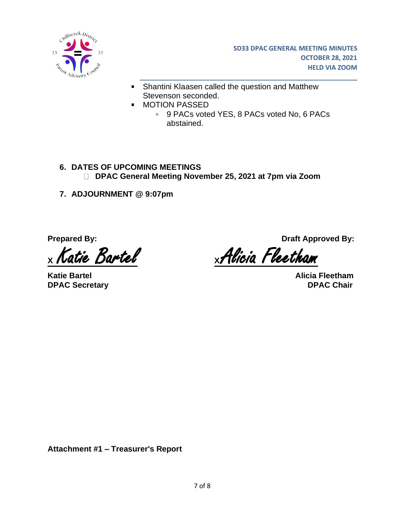

- **Shantini Klaasen called the question and Matthew** Stevenson seconded.
	- MOTION PASSED
		- 9 PACs voted YES, 8 PACs voted No, 6 PACs abstained.

**\_\_\_\_\_\_\_\_\_\_\_\_\_\_\_\_\_\_\_\_\_\_\_\_\_\_\_\_\_\_\_\_\_\_\_\_\_\_\_\_\_\_\_\_\_\_\_\_\_\_\_\_\_\_\_\_\_\_\_\_**

- **6. DATES OF UPCOMING MEETINGS DPAC General Meeting November 25, 2021 at 7pm via Zoom**
- **7. ADJOURNMENT @ 9:07pm**

 $\blacksquare$ 

**Katie Bartel Alicia Fleetham DPAC Secretary DPAC Chair**

**Prepared By: Draft Approved By:** 

**<sup>X</sup>**Katie Bartel **<sup>X</sup>** Alicia Fleetham

**Attachment #1 – Treasurer's Report**